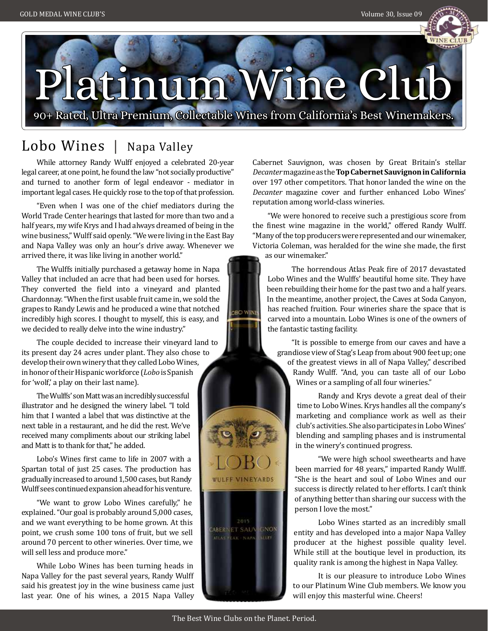

# Platinum Wine Club

90+ Rated, Ultra Premium, Collectable Wines from California's Best Winemakers.

**OBO WINE** 

# Lobo Wines | Napa Valley

While attorney Randy Wulff enjoyed a celebrated 20-year legal career, at one point, he found the law "not socially productive" and turned to another form of legal endeavor - mediator in important legal cases. He quickly rose to the top of that profession.

"Even when I was one of the chief mediators during the World Trade Center hearings that lasted for more than two and a half years, my wife Krys and I had always dreamed of being in the wine business," Wulff said openly. "We were living in the East Bay and Napa Valley was only an hour's drive away. Whenever we arrived there, it was like living in another world."

The Wulffs initially purchased a getaway home in Napa Valley that included an acre that had been used for horses. They converted the field into a vineyard and planted Chardonnay. "When the first usable fruit came in, we sold the grapes to Randy Lewis and he produced a wine that notched incredibly high scores. I thought to myself, this is easy, and we decided to really delve into the wine industry."

The couple decided to increase their vineyard land to its present day 24 acres under plant. They also chose to develop their own winery that they called Lobo Wines, in honor of their Hispanic workforce (*Lobo* is Spanish for 'wolf,' a play on their last name).

The Wulffs' son Matt was an incredibly successful illustrator and he designed the winery label. "I told him that I wanted a label that was distinctive at the next table in a restaurant, and he did the rest. We've received many compliments about our striking label and Matt is to thank for that," he added.

Lobo's Wines first came to life in 2007 with a Spartan total of just 25 cases. The production has gradually increased to around 1,500 cases, but Randy Wulff sees continued expansion ahead for his venture.

"We want to grow Lobo Wines carefully," he explained. "Our goal is probably around 5,000 cases, and we want everything to be home grown. At this point, we crush some 100 tons of fruit, but we sell around 70 percent to other wineries. Over time, we will sell less and produce more."

While Lobo Wines has been turning heads in Napa Valley for the past several years, Randy Wulff said his greatest joy in the wine business came just last year. One of his wines, a 2015 Napa Valley

Cabernet Sauvignon, was chosen by Great Britain's stellar *Decanter* magazine as the **Top Cabernet Sauvignon in California**  over 197 other competitors. That honor landed the wine on the *Decanter* magazine cover and further enhanced Lobo Wines' reputation among world-class wineries.

"We were honored to receive such a prestigious score from the finest wine magazine in the world," offered Randy Wulff. "Many of the top producers were represented and our winemaker, Victoria Coleman, was heralded for the wine she made, the first as our winemaker."

The horrendous Atlas Peak fire of 2017 devastated Lobo Wines and the Wulffs' beautiful home site. They have been rebuilding their home for the past two and a half years. In the meantime, another project, the Caves at Soda Canyon, has reached fruition. Four wineries share the space that is carved into a mountain. Lobo Wines is one of the owners of the fantastic tasting facility.

"It is possible to emerge from our caves and have a grandiose view of Stag's Leap from about 900 feet up; one

of the greatest views in all of Napa Valley," described Randy Wulff. "And, you can taste all of our Lobo Wines or a sampling of all four wineries."

Randy and Krys devote a great deal of their time to Lobo Wines. Krys handles all the company's marketing and compliance work as well as their club's activities. She also participates in Lobo Wines' blending and sampling phases and is instrumental in the winery's continued progress.

"We were high school sweethearts and have been married for 48 years," imparted Randy Wulff. "She is the heart and soul of Lobo Wines and our success is directly related to her efforts. I can't think of anything better than sharing our success with the person I love the most."

Lobo Wines started as an incredibly small entity and has developed into a major Napa Valley producer at the highest possible quality level. While still at the boutique level in production, its quality rank is among the highest in Napa Valley.

It is our pleasure to introduce Lobo Wines to our Platinum Wine Club members. We know you will enjoy this masterful wine. Cheers!

**WULFF VINEYARDS** 

 $2015$ ABERNET SAUV GNON ATLAS EAK NAPA MLEY